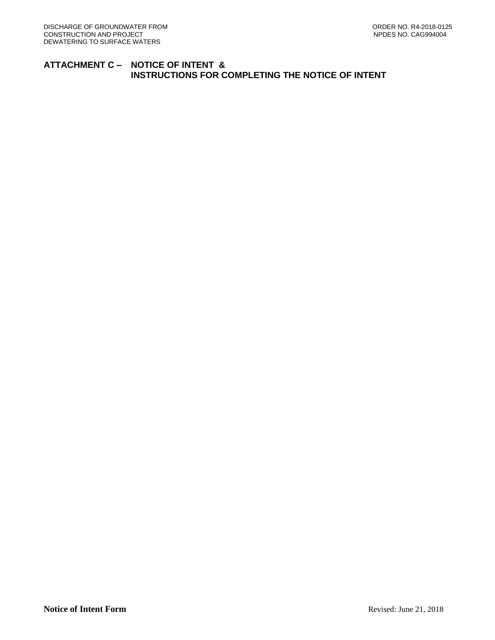## **ATTACHMENT C – NOTICE OF INTENT & INSTRUCTIONS FOR COMPLETING THE NOTICE OF INTENT**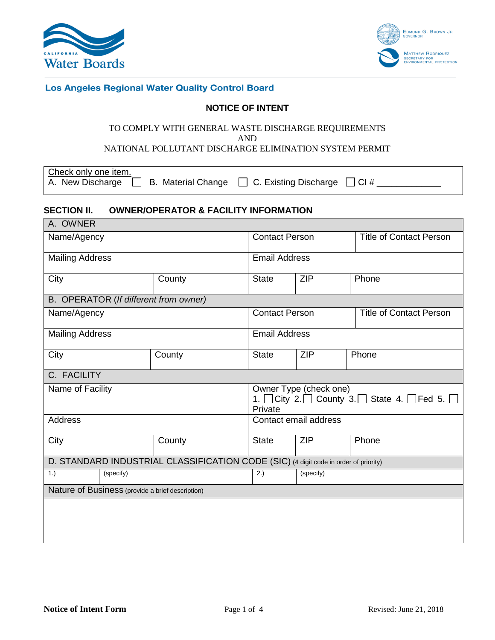



## Los Angeles Regional Water Quality Control Board

## **NOTICE OF INTENT**

#### TO COMPLY WITH GENERAL WASTE DISCHARGE REQUIREMENTS AND

## NATIONAL POLLUTANT DISCHARGE ELIMINATION SYSTEM PERMIT

Check only one item.

A. New Discharge B. Material Change C. Existing Discharge CI # \_\_\_\_\_\_\_\_\_\_\_\_\_

#### **SECTION II. OWNER/OPERATOR & FACILITY INFORMATION** A. OWNER

| A. UWNER                                                                             |           |                                       |                                                                             |            |                                |  |
|--------------------------------------------------------------------------------------|-----------|---------------------------------------|-----------------------------------------------------------------------------|------------|--------------------------------|--|
| Name/Agency                                                                          |           |                                       | <b>Contact Person</b>                                                       |            | <b>Title of Contact Person</b> |  |
| <b>Mailing Address</b>                                                               |           |                                       | <b>Email Address</b>                                                        |            |                                |  |
| City                                                                                 |           | County                                | <b>State</b>                                                                | <b>ZIP</b> | Phone                          |  |
|                                                                                      |           | B. OPERATOR (If different from owner) |                                                                             |            |                                |  |
| Name/Agency                                                                          |           |                                       | <b>Contact Person</b>                                                       |            | <b>Title of Contact Person</b> |  |
| <b>Mailing Address</b>                                                               |           | <b>Email Address</b>                  |                                                                             |            |                                |  |
| City                                                                                 |           | County                                | <b>State</b>                                                                | <b>ZIP</b> | Phone                          |  |
| C. FACILITY                                                                          |           |                                       |                                                                             |            |                                |  |
| Name of Facility                                                                     |           |                                       | Owner Type (check one)<br>1. City 2. County 3. State 4. Fed 5. D<br>Private |            |                                |  |
| <b>Address</b>                                                                       |           |                                       | Contact email address                                                       |            |                                |  |
| City                                                                                 |           | County                                | <b>State</b>                                                                | <b>ZIP</b> | Phone                          |  |
| D. STANDARD INDUSTRIAL CLASSIFICATION CODE (SIC) (4 digit code in order of priority) |           |                                       |                                                                             |            |                                |  |
| 1.)                                                                                  | (specify) |                                       | 2.)                                                                         | (specify)  |                                |  |
| Nature of Business (provide a brief description)                                     |           |                                       |                                                                             |            |                                |  |
|                                                                                      |           |                                       |                                                                             |            |                                |  |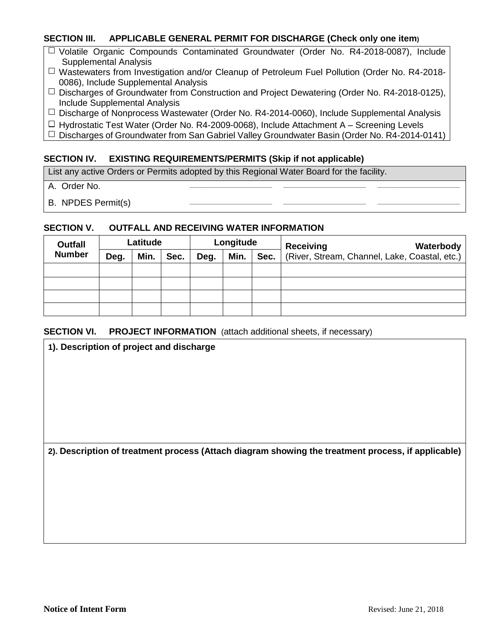## **SECTION III. APPLICABLE GENERAL PERMIT FOR DISCHARGE (Check only one item)**

- $\Box$  Volatile Organic Compounds Contaminated Groundwater (Order No. R4-2018-0087), Include Supplemental Analysis
- $\Box$  Wastewaters from Investigation and/or Cleanup of Petroleum Fuel Pollution (Order No. R4-2018-0086), Include Supplemental Analysis
- $\Box$  Discharges of Groundwater from Construction and Project Dewatering (Order No. R4-2018-0125), Include Supplemental Analysis
- $\Box$  Discharge of Nonprocess Wastewater (Order No. R4-2014-0060), Include Supplemental Analysis
- $\Box$  Hydrostatic Test Water (Order No. R4-2009-0068), Include Attachment A Screening Levels
- $\Box$  Discharges of Groundwater from San Gabriel Valley Groundwater Basin (Order No. R4-2014-0141)

## **SECTION IV. EXISTING REQUIREMENTS/PERMITS (Skip if not applicable)**

List any active Orders or Permits adopted by this Regional Water Board for the facility.

- A. Order No. **\_\_\_\_\_\_\_\_\_\_\_\_\_\_\_\_\_\_\_\_\_\_\_ \_\_\_\_\_\_\_\_\_\_\_\_\_\_\_\_\_\_\_\_\_\_\_ \_\_\_\_\_\_\_\_\_\_\_\_\_\_\_\_\_\_\_\_\_\_\_**
- **B. NPDES Permit(s)**

#### **SECTION V. OUTFALL AND RECEIVING WATER INFORMATION**

| <b>Outfall</b><br><b>Number</b> | Latitude |      |      | Longitude |      |      | <b>Receiving</b><br>Waterbody                 |
|---------------------------------|----------|------|------|-----------|------|------|-----------------------------------------------|
|                                 | Deg.     | Min. | Sec. | Deg.      | Min. | Sec. | (River, Stream, Channel, Lake, Coastal, etc.) |
|                                 |          |      |      |           |      |      |                                               |
|                                 |          |      |      |           |      |      |                                               |
|                                 |          |      |      |           |      |      |                                               |
|                                 |          |      |      |           |      |      |                                               |

## **SECTION VI.** PROJECT INFORMATION (attach additional sheets, if necessary)

| 1). Description of project and discharge                                                           |
|----------------------------------------------------------------------------------------------------|
|                                                                                                    |
|                                                                                                    |
|                                                                                                    |
|                                                                                                    |
|                                                                                                    |
|                                                                                                    |
|                                                                                                    |
| 2). Description of treatment process (Attach diagram showing the treatment process, if applicable) |
|                                                                                                    |
|                                                                                                    |
|                                                                                                    |
|                                                                                                    |
|                                                                                                    |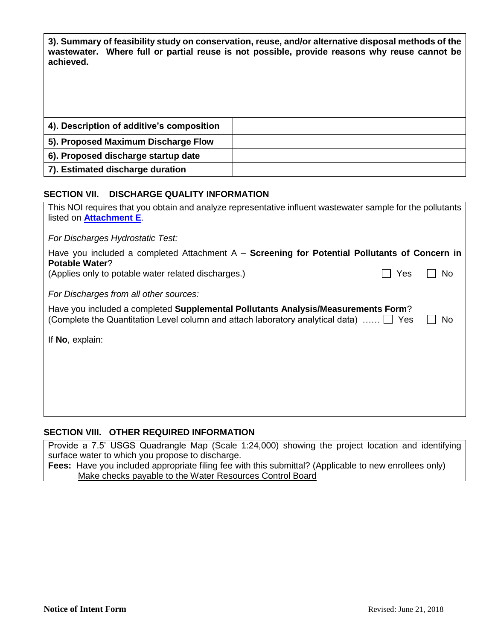**3). Summary of feasibility study on conservation, reuse, and/or alternative disposal methods of the wastewater. Where full or partial reuse is not possible, provide reasons why reuse cannot be achieved.**

| 4). Description of additive's composition |  |
|-------------------------------------------|--|
| 5). Proposed Maximum Discharge Flow       |  |
| 6). Proposed discharge startup date       |  |
| 7). Estimated discharge duration          |  |

## **SECTION VII. DISCHARGE QUALITY INFORMATION**

| This NOI requires that you obtain and analyze representative influent wastewater sample for the pollutants<br>listed on Attachment E.                               |     |     |  |  |  |
|---------------------------------------------------------------------------------------------------------------------------------------------------------------------|-----|-----|--|--|--|
| For Discharges Hydrostatic Test:                                                                                                                                    |     |     |  |  |  |
| Have you included a completed Attachment $A -$ Screening for Potential Pollutants of Concern in<br><b>Potable Water?</b>                                            |     |     |  |  |  |
| (Applies only to potable water related discharges.)                                                                                                                 | Yes | No. |  |  |  |
| For Discharges from all other sources:                                                                                                                              |     |     |  |  |  |
| Have you included a completed Supplemental Pollutants Analysis/Measurements Form?<br>(Complete the Quantitation Level column and attach laboratory analytical data) |     | Νo  |  |  |  |
| If No, explain:                                                                                                                                                     |     |     |  |  |  |
|                                                                                                                                                                     |     |     |  |  |  |
|                                                                                                                                                                     |     |     |  |  |  |
|                                                                                                                                                                     |     |     |  |  |  |
|                                                                                                                                                                     |     |     |  |  |  |

# **SECTION VIII. OTHER REQUIRED INFORMATION**

Provide a 7.5' USGS Quadrangle Map (Scale 1:24,000) showing the project location and identifying surface water to which you propose to discharge.

Fees: Have you included appropriate filing fee with this submittal? (Applicable to new enrollees only) Make checks payable to the Water Resources Control Board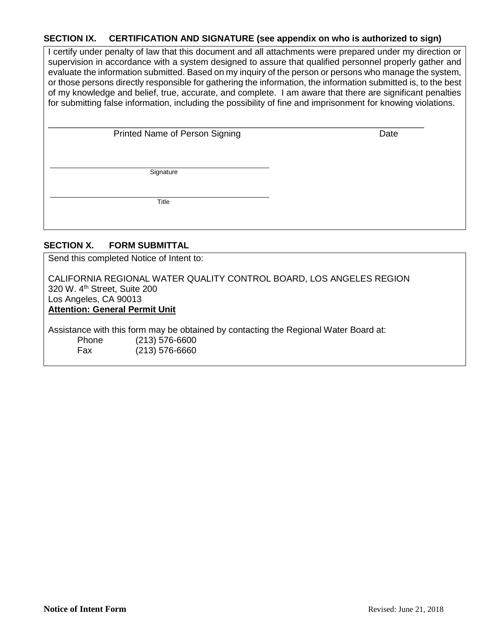## **SECTION IX. CERTIFICATION AND SIGNATURE (see appendix on who is authorized to sign)**

I certify under penalty of law that this document and all attachments were prepared under my direction or supervision in accordance with a system designed to assure that qualified personnel properly gather and evaluate the information submitted. Based on my inquiry of the person or persons who manage the system, or those persons directly responsible for gathering the information, the information submitted is, to the best of my knowledge and belief, true, accurate, and complete. I am aware that there are significant penalties for submitting false information, including the possibility of fine and imprisonment for knowing violations.

| <b>Printed Name of Person Signing</b> |  |
|---------------------------------------|--|

**Date** 

\_\_\_\_\_\_\_\_\_\_\_\_\_\_\_\_\_\_\_\_\_\_\_\_\_\_\_\_\_\_\_\_\_

**Signature** \_\_\_\_\_\_\_\_\_\_\_\_\_\_\_\_\_\_\_\_\_\_\_\_\_\_\_\_\_\_\_\_\_\_\_\_\_\_\_\_\_\_\_\_\_\_\_\_\_\_\_\_\_\_\_\_\_\_\_\_\_

Title \_\_\_\_\_\_\_\_\_\_\_\_\_\_\_\_\_\_\_\_\_\_\_\_\_\_\_\_\_\_\_\_\_\_\_\_\_\_\_\_\_\_\_\_\_\_\_\_\_\_\_\_\_\_\_\_\_\_\_\_\_

## **SECTION X. FORM SUBMITTAL**

Send this completed Notice of Intent to:

CALIFORNIA REGIONAL WATER QUALITY CONTROL BOARD, LOS ANGELES REGION 320 W. 4<sup>th</sup> Street, Suite 200 Los Angeles, CA 90013 **Attention: General Permit Unit**

Assistance with this form may be obtained by contacting the Regional Water Board at: Phone (213) 576-6600 Fax (213) 576-6660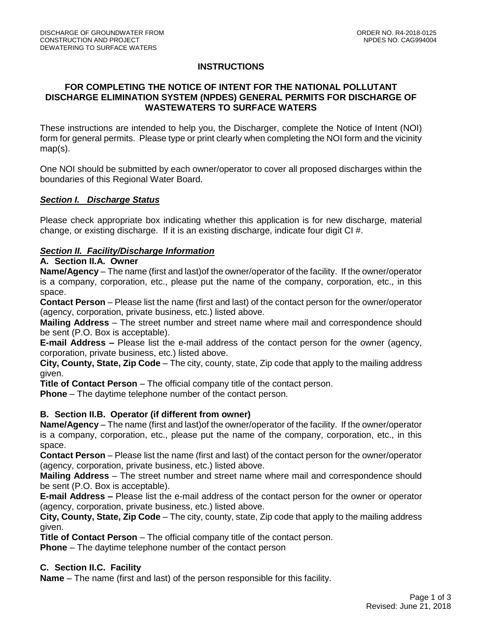# **INSTRUCTIONS**

## **FOR COMPLETING THE NOTICE OF INTENT FOR THE NATIONAL POLLUTANT DISCHARGE ELIMINATION SYSTEM (NPDES) GENERAL PERMITS FOR DISCHARGE OF WASTEWATERS TO SURFACE WATERS**

These instructions are intended to help you, the Discharger, complete the Notice of Intent (NOI) form for general permits. Please type or print clearly when completing the NOI form and the vicinity map(s).

One NOI should be submitted by each owner/operator to cover all proposed discharges within the boundaries of this Regional Water Board.

## *Section I. Discharge Status*

Please check appropriate box indicating whether this application is for new discharge, material change, or existing discharge. If it is an existing discharge, indicate four digit CI #.

# *Section II. Facility/Discharge Information*

## **A. Section II.A. Owner**

**Name/Agency** – The name (first and last)of the owner/operator of the facility. If the owner/operator is a company, corporation, etc., please put the name of the company, corporation, etc., in this space.

**Contact Person** – Please list the name (first and last) of the contact person for the owner/operator (agency, corporation, private business, etc.) listed above.

**Mailing Address** – The street number and street name where mail and correspondence should be sent (P.O. Box is acceptable).

**E-mail Address –** Please list the e-mail address of the contact person for the owner (agency, corporation, private business, etc.) listed above.

**City, County, State, Zip Code** – The city, county, state, Zip code that apply to the mailing address given.

**Title of Contact Person** – The official company title of the contact person.

**Phone** – The daytime telephone number of the contact person.

## **B. Section II.B. Operator (if different from owner)**

**Name/Agency** – The name (first and last)of the owner/operator of the facility. If the owner/operator is a company, corporation, etc., please put the name of the company, corporation, etc., in this space.

**Contact Person** – Please list the name (first and last) of the contact person for the owner/operator (agency, corporation, private business, etc.) listed above.

**Mailing Address** – The street number and street name where mail and correspondence should be sent (P.O. Box is acceptable).

**E-mail Address –** Please list the e-mail address of the contact person for the owner or operator (agency, corporation, private business, etc.) listed above.

**City, County, State, Zip Code** – The city, county, state, Zip code that apply to the mailing address given.

**Title of Contact Person** – The official company title of the contact person.

**Phone** – The daytime telephone number of the contact person

## **C. Section II.C. Facility**

**Name** – The name (first and last) of the person responsible for this facility.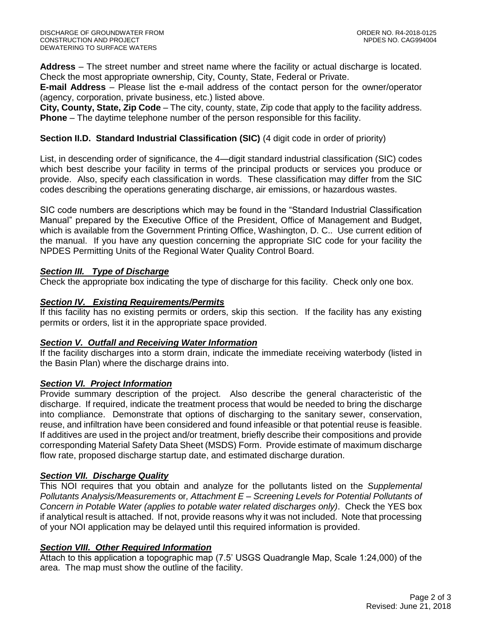**Address** – The street number and street name where the facility or actual discharge is located. Check the most appropriate ownership, City, County, State, Federal or Private.

**E-mail Address** – Please list the e-mail address of the contact person for the owner/operator (agency, corporation, private business, etc.) listed above.

**City, County, State, Zip Code** – The city, county, state, Zip code that apply to the facility address. **Phone** – The daytime telephone number of the person responsible for this facility.

## **Section II.D. Standard Industrial Classification (SIC)** (4 digit code in order of priority)

List, in descending order of significance, the 4—digit standard industrial classification (SIC) codes which best describe your facility in terms of the principal products or services you produce or provide. Also, specify each classification in words. These classification may differ from the SIC codes describing the operations generating discharge, air emissions, or hazardous wastes.

SIC code numbers are descriptions which may be found in the "Standard Industrial Classification Manual" prepared by the Executive Office of the President, Office of Management and Budget, which is available from the Government Printing Office, Washington, D. C.. Use current edition of the manual. If you have any question concerning the appropriate SIC code for your facility the NPDES Permitting Units of the Regional Water Quality Control Board.

## *Section III. Type of Discharge*

Check the appropriate box indicating the type of discharge for this facility. Check only one box.

## *Section IV. Existing Requirements/Permits*

If this facility has no existing permits or orders, skip this section. If the facility has any existing permits or orders, list it in the appropriate space provided.

## *Section V. Outfall and Receiving Water Information*

If the facility discharges into a storm drain, indicate the immediate receiving waterbody (listed in the Basin Plan) where the discharge drains into.

## *Section VI. Project Information*

Provide summary description of the project. Also describe the general characteristic of the discharge. If required, indicate the treatment process that would be needed to bring the discharge into compliance. Demonstrate that options of discharging to the sanitary sewer, conservation, reuse, and infiltration have been considered and found infeasible or that potential reuse is feasible. If additives are used in the project and/or treatment, briefly describe their compositions and provide corresponding Material Safety Data Sheet (MSDS) Form. Provide estimate of maximum discharge flow rate, proposed discharge startup date, and estimated discharge duration.

## *Section VII. Discharge Quality*

This NOI requires that you obtain and analyze for the pollutants listed on the *Supplemental Pollutants Analysis/Measurements* or*, Attachment E – Screening Levels for Potential Pollutants of Concern in Potable Water (applies to potable water related discharges only)*. Check the YES box if analytical result is attached. If not, provide reasons why it was not included. Note that processing of your NOI application may be delayed until this required information is provided.

## *Section VIII. Other Required Information*

Attach to this application a topographic map (7.5' USGS Quadrangle Map, Scale 1:24,000) of the area. The map must show the outline of the facility.